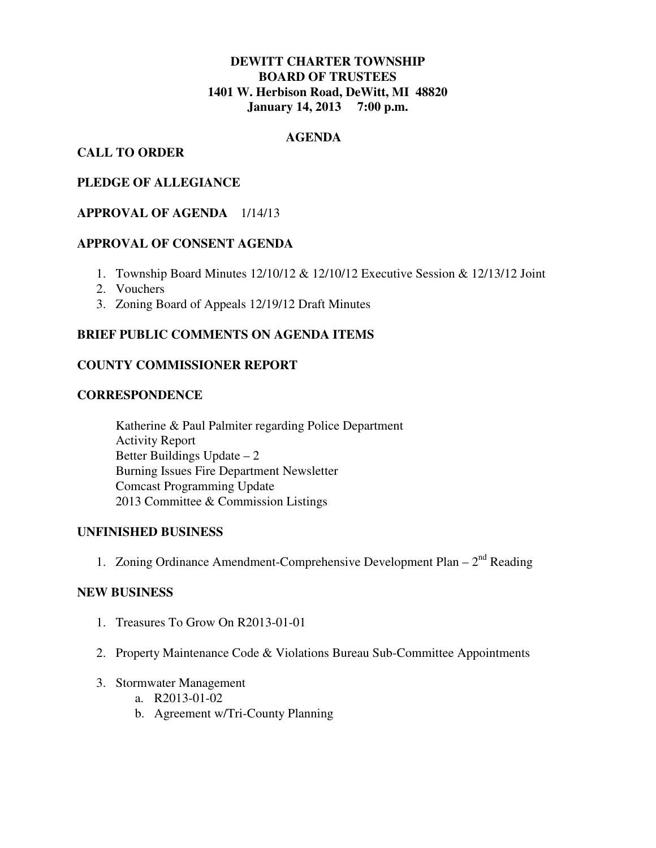# **DEWITT CHARTER TOWNSHIP BOARD OF TRUSTEES 1401 W. Herbison Road, DeWitt, MI 48820 January 14, 2013 7:00 p.m.**

# **AGENDA**

# **CALL TO ORDER**

# **PLEDGE OF ALLEGIANCE**

## **APPROVAL OF AGENDA** 1/14/13

#### **APPROVAL OF CONSENT AGENDA**

- 1. Township Board Minutes 12/10/12 & 12/10/12 Executive Session & 12/13/12 Joint
- 2. Vouchers
- 3. Zoning Board of Appeals 12/19/12 Draft Minutes

## **BRIEF PUBLIC COMMENTS ON AGENDA ITEMS**

## **COUNTY COMMISSIONER REPORT**

# **CORRESPONDENCE**

 Katherine & Paul Palmiter regarding Police Department Activity Report Better Buildings Update – 2 Burning Issues Fire Department Newsletter Comcast Programming Update 2013 Committee & Commission Listings

#### **UNFINISHED BUSINESS**

1. Zoning Ordinance Amendment-Comprehensive Development Plan –  $2<sup>nd</sup>$  Reading

#### **NEW BUSINESS**

- 1. Treasures To Grow On R2013-01-01
- 2. Property Maintenance Code & Violations Bureau Sub-Committee Appointments
- 3. Stormwater Management
	- a. R2013-01-02
	- b. Agreement w/Tri-County Planning